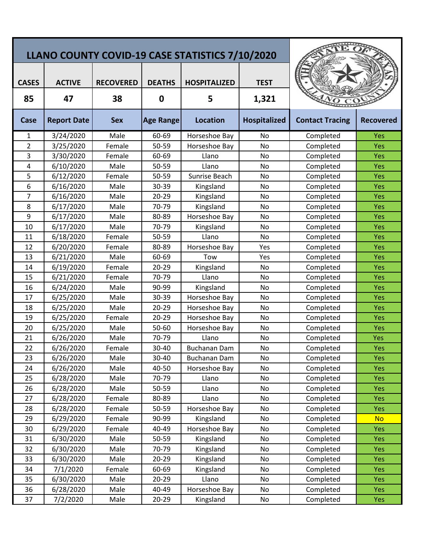| LLANO COUNTY COVID-19 CASE STATISTICS 7/10/2020 |                     |                        |                    |                          |                      |                        |                  |
|-------------------------------------------------|---------------------|------------------------|--------------------|--------------------------|----------------------|------------------------|------------------|
| <b>CASES</b><br>85                              | <b>ACTIVE</b><br>47 | <b>RECOVERED</b><br>38 | <b>DEATHS</b><br>0 | <b>HOSPITALIZED</b><br>5 | <b>TEST</b><br>1,321 |                        |                  |
| Case                                            | <b>Report Date</b>  | <b>Sex</b>             | <b>Age Range</b>   | <b>Location</b>          | <b>Hospitalized</b>  | <b>Contact Tracing</b> | <b>Recovered</b> |
| 1                                               | 3/24/2020           | Male                   | 60-69              | Horseshoe Bay            | No                   | Completed              | Yes              |
| $\overline{2}$                                  | 3/25/2020           | Female                 | 50-59              | Horseshoe Bay            | No                   | Completed              | Yes              |
| 3                                               | 3/30/2020           | Female                 | 60-69              | Llano                    | No                   | Completed              | Yes              |
| 4                                               | 6/10/2020           | Male                   | 50-59              | Llano                    | No                   | Completed              | <b>Yes</b>       |
| 5                                               | 6/12/2020           | Female                 | 50-59              | Sunrise Beach            | No                   | Completed              | Yes              |
| 6                                               | 6/16/2020           | Male                   | 30-39              | Kingsland                | No                   | Completed              | <b>Yes</b>       |
| $\overline{7}$                                  | 6/16/2020           | Male                   | 20-29              | Kingsland                | No                   | Completed              | <b>Yes</b>       |
| 8                                               | 6/17/2020           | Male                   | 70-79              | Kingsland                | No                   | Completed              | <b>Yes</b>       |
| 9                                               | 6/17/2020           | Male                   | 80-89              | Horseshoe Bay            | No                   | Completed              | Yes              |
| 10                                              | 6/17/2020           | Male                   | 70-79              | Kingsland                | No                   | Completed              | Yes              |
| 11                                              | 6/18/2020           | Female                 | 50-59              | Llano                    | No                   | Completed              | <b>Yes</b>       |
| 12                                              | 6/20/2020           | Female                 | 80-89              | Horseshoe Bay            | Yes                  | Completed              | <b>Yes</b>       |
| 13                                              | 6/21/2020           | Male                   | 60-69              | Tow                      | Yes                  | Completed              | <b>Yes</b>       |
| 14                                              | 6/19/2020           | Female                 | $20 - 29$          | Kingsland                | No                   | Completed              | <b>Yes</b>       |
| 15                                              | 6/21/2020           | Female                 | 70-79              | Llano                    | No                   | Completed              | <b>Yes</b>       |
| 16                                              | 6/24/2020           | Male                   | 90-99              | Kingsland                | No                   | Completed              | <b>Yes</b>       |
| 17                                              | 6/25/2020           | Male                   | 30-39              | Horseshoe Bay            | No                   | Completed              | Yes              |
| 18                                              | 6/25/2020           | Male                   | 20-29              | Horseshoe Bay            | No                   | Completed              | <b>Yes</b>       |
| 19                                              | 6/25/2020           | Female                 | $20 - 29$          | Horseshoe Bay            | No                   | Completed              | <b>Yes</b>       |
| 20                                              | 6/25/2020           | Male                   | 50-60              | Horseshoe Bay            | No                   | Completed              | <b>Yes</b>       |
| 21                                              | 6/26/2020           | Male                   | 70-79              | Llano                    | No                   | Completed              | Yes              |
| 22                                              | 6/26/2020           | Female                 | 30-40              | <b>Buchanan Dam</b>      | No                   | Completed              | Yes              |
| 23                                              | 6/26/2020           | Male                   | 30-40              | <b>Buchanan Dam</b>      | No                   | Completed              | <b>Yes</b>       |
| 24                                              | 6/26/2020           | Male                   | 40-50              | Horseshoe Bay            | No                   | Completed              | <b>Yes</b>       |
| 25                                              | 6/28/2020           | Male                   | 70-79              | Llano                    | No                   | Completed              | <b>Yes</b>       |
| 26                                              | 6/28/2020           | Male                   | 50-59              | Llano                    | No                   | Completed              | Yes              |
| 27                                              | 6/28/2020           | Female                 | 80-89              | Llano                    | No                   | Completed              | <b>Yes</b>       |
| 28                                              | 6/28/2020           | Female                 | 50-59              | Horseshoe Bay            | No                   | Completed              | Yes              |
| 29                                              | 6/29/2020           | Female                 | 90-99              | Kingsland                | No                   | Completed              | <b>No</b>        |
| 30                                              | 6/29/2020           | Female                 | 40-49              | Horseshoe Bay            | No                   | Completed              | <b>Yes</b>       |
| 31                                              | 6/30/2020           | Male                   | 50-59              | Kingsland                | No                   | Completed              | <b>Yes</b>       |
| 32                                              | 6/30/2020           | Male                   | 70-79              | Kingsland                | No                   | Completed              | Yes              |
| 33                                              | 6/30/2020           | Male                   | $20 - 29$          | Kingsland                | No                   | Completed              | Yes              |
| 34                                              | 7/1/2020            | Female                 | 60-69              | Kingsland                | No                   | Completed              | Yes              |
| 35                                              | 6/30/2020           | Male                   | $20 - 29$          | Llano                    | No                   | Completed              | Yes              |
| 36                                              | 6/28/2020           | Male                   | 40-49              | Horseshoe Bay            | No                   | Completed              | <b>Yes</b>       |
| 37                                              | 7/2/2020            | Male                   | 20-29              | Kingsland                | No                   | Completed              | Yes              |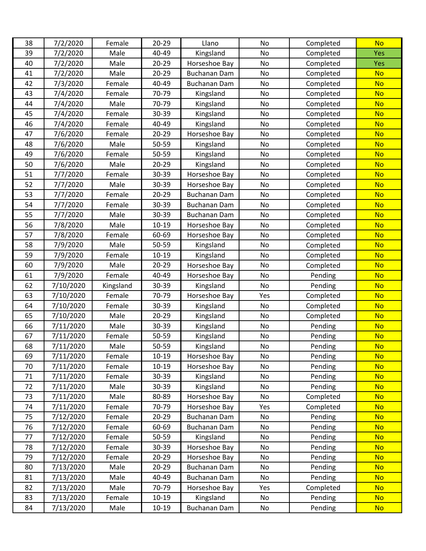| 38 | 7/2/2020  | Female    | $20 - 29$ | Llano               | No  | Completed | <b>No</b>  |
|----|-----------|-----------|-----------|---------------------|-----|-----------|------------|
| 39 | 7/2/2020  | Male      | 40-49     | Kingsland           | No  | Completed | Yes        |
| 40 | 7/2/2020  | Male      | 20-29     | Horseshoe Bay       | No  | Completed | <b>Yes</b> |
| 41 | 7/2/2020  | Male      | $20 - 29$ | <b>Buchanan Dam</b> | No  | Completed | <b>No</b>  |
| 42 | 7/3/2020  | Female    | 40-49     | Buchanan Dam        | No  | Completed | <b>No</b>  |
| 43 | 7/4/2020  | Female    | 70-79     | Kingsland           | No  | Completed | <b>No</b>  |
| 44 | 7/4/2020  | Male      | 70-79     | Kingsland           | No  | Completed | <b>No</b>  |
| 45 | 7/4/2020  | Female    | 30-39     | Kingsland           | No  | Completed | <b>No</b>  |
| 46 | 7/4/2020  | Female    | 40-49     | Kingsland           | No  | Completed | <b>No</b>  |
| 47 | 7/6/2020  | Female    | 20-29     | Horseshoe Bay       | No  | Completed | <b>No</b>  |
| 48 | 7/6/2020  | Male      | 50-59     | Kingsland           | No  | Completed | <b>No</b>  |
| 49 | 7/6/2020  | Female    | 50-59     | Kingsland           | No  | Completed | <b>No</b>  |
| 50 | 7/6/2020  | Male      | $20 - 29$ | Kingsland           | No  | Completed | <b>No</b>  |
| 51 | 7/7/2020  | Female    | 30-39     | Horseshoe Bay       | No  | Completed | <b>No</b>  |
| 52 | 7/7/2020  | Male      | 30-39     | Horseshoe Bay       | No  | Completed | <b>No</b>  |
| 53 | 7/7/2020  | Female    | $20 - 29$ | <b>Buchanan Dam</b> | No  | Completed | <b>No</b>  |
| 54 | 7/7/2020  | Female    | 30-39     | <b>Buchanan Dam</b> | No  | Completed | <b>No</b>  |
| 55 | 7/7/2020  | Male      | 30-39     | <b>Buchanan Dam</b> | No  | Completed | <b>No</b>  |
| 56 | 7/8/2020  | Male      | $10 - 19$ | Horseshoe Bay       | No  | Completed | <b>No</b>  |
| 57 | 7/8/2020  | Female    | 60-69     | Horseshoe Bay       | No  | Completed | <b>No</b>  |
| 58 | 7/9/2020  | Male      | 50-59     | Kingsland           | No  | Completed | <b>No</b>  |
| 59 | 7/9/2020  | Female    | $10 - 19$ | Kingsland           | No  | Completed | <b>No</b>  |
| 60 | 7/9/2020  | Male      | $20 - 29$ | Horseshoe Bay       | No  | Completed | <b>No</b>  |
| 61 | 7/9/2020  | Female    | 40-49     | Horseshoe Bay       | No  | Pending   | <b>No</b>  |
| 62 | 7/10/2020 | Kingsland | 30-39     | Kingsland           | No  | Pending   | <b>No</b>  |
| 63 | 7/10/2020 | Female    | 70-79     | Horseshoe Bay       | Yes | Completed | <b>No</b>  |
| 64 | 7/10/2020 | Female    | 30-39     | Kingsland           | No  | Completed | <b>No</b>  |
| 65 | 7/10/2020 | Male      | $20 - 29$ | Kingsland           | No  | Completed | <b>No</b>  |
| 66 | 7/11/2020 | Male      | 30-39     | Kingsland           | No  | Pending   | <b>No</b>  |
| 67 | 7/11/2020 | Female    | 50-59     | Kingsland           | No  | Pending   | <b>No</b>  |
| 68 | 7/11/2020 | Male      | 50-59     | Kingsland           | No  | Pending   | <b>No</b>  |
| 69 | 7/11/2020 | Female    | $10 - 19$ | Horseshoe Bay       | No  | Pending   | <b>No</b>  |
| 70 | 7/11/2020 | Female    | $10 - 19$ | Horseshoe Bay       | No  | Pending   | <b>No</b>  |
| 71 | 7/11/2020 | Female    | 30-39     | Kingsland           | No  | Pending   | <b>No</b>  |
| 72 | 7/11/2020 | Male      | 30-39     | Kingsland           | No  | Pending   | <b>No</b>  |
| 73 | 7/11/2020 | Male      | 80-89     | Horseshoe Bay       | No  | Completed | <b>No</b>  |
| 74 | 7/11/2020 | Female    | 70-79     | Horseshoe Bay       | Yes | Completed | <b>No</b>  |
| 75 | 7/12/2020 | Female    | $20 - 29$ | Buchanan Dam        | No  | Pending   | <b>No</b>  |
| 76 | 7/12/2020 | Female    | 60-69     | Buchanan Dam        | No  | Pending   | <b>No</b>  |
| 77 | 7/12/2020 | Female    | 50-59     | Kingsland           | No  | Pending   | <b>No</b>  |
| 78 | 7/12/2020 | Female    | 30-39     | Horseshoe Bay       | No  | Pending   | <b>No</b>  |
| 79 | 7/12/2020 | Female    | $20 - 29$ | Horseshoe Bay       | No  | Pending   | <b>No</b>  |
| 80 | 7/13/2020 | Male      | 20-29     | Buchanan Dam        | No  | Pending   | <b>No</b>  |
| 81 | 7/13/2020 | Male      | 40-49     | Buchanan Dam        | No  | Pending   | <b>No</b>  |
| 82 | 7/13/2020 | Male      | 70-79     | Horseshoe Bay       | Yes | Completed | <b>No</b>  |
| 83 | 7/13/2020 | Female    | $10 - 19$ | Kingsland           | No  | Pending   | <b>No</b>  |
| 84 | 7/13/2020 | Male      | $10 - 19$ | Buchanan Dam        | No  | Pending   | <b>No</b>  |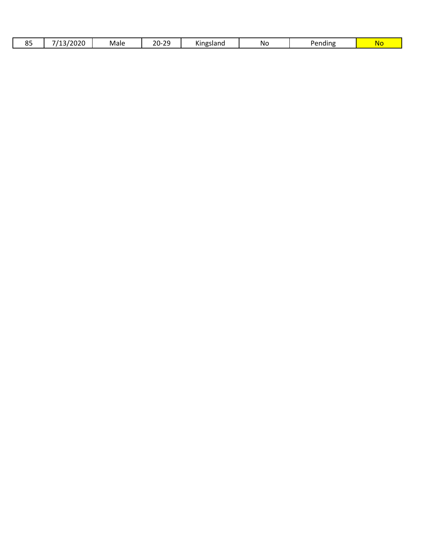| 0 E<br>. ∟<br>ິ | $\sim$ $\sim$ $\sim$<br>$\overline{14}$<br>/2020<br>-<br>-- | Male | ົາດ<br>ำ∩-<br>∠∪<br>$\sim$ | .<br>Kingsland | No | Pending | NG |
|-----------------|-------------------------------------------------------------|------|----------------------------|----------------|----|---------|----|